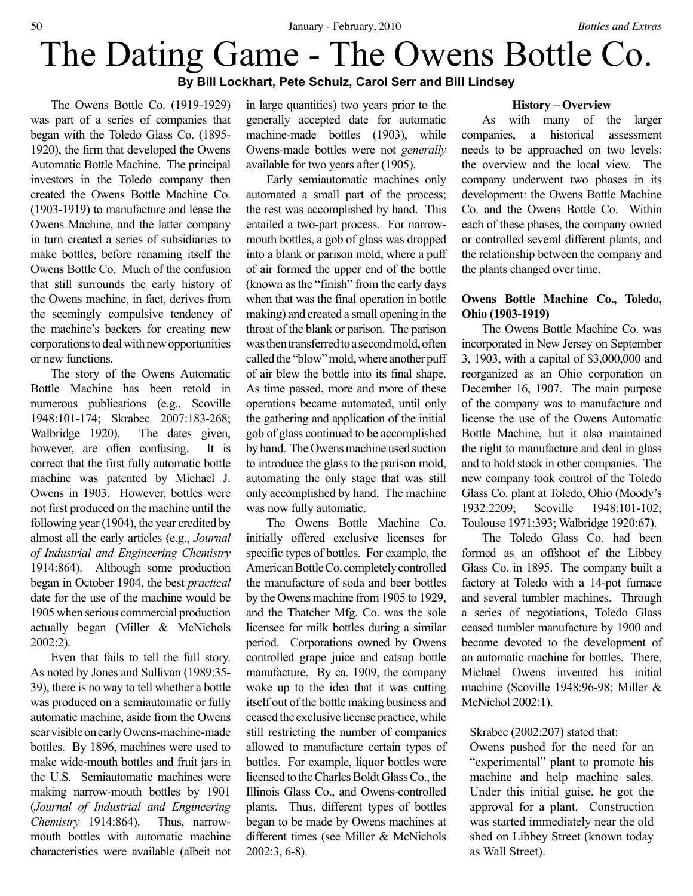# The Dating Game - The Owens Bottle Co. **By Bill Lockhart, Pete Schulz, Carol Serr and Bill Lindsey**

The Owens Bottle Co. (1919-1929) was part of a series of companies that began with the Toledo Glass Co. (1895- 1920), the firm that developed the Owens Automatic Bottle Machine. The principal investors in the Toledo company then created the Owens Bottle Machine Co. (1903-1919) to manufacture and lease the Owens Machine, and the latter company in turn created a series of subsidiaries to make bottles, before renaming itself the Owens Bottle Co. Much of the confusion that still surrounds the early history of the Owens machine, in fact, derives from the seemingly compulsive tendency of the machine's backers for creating new corporations to deal with new opportunities or new functions.

The story of the Owens Automatic Bottle Machine has been retold in numerous publications (e.g., Scoville 1948:101-174; Skrabec 2007:183-268; Walbridge 1920). The dates given, however, are often confusing. It is correct that the first fully automatic bottle machine was patented by Michael J. Owens in 1903. However, bottles were not first produced on the machine until the following year (1904), the year credited by almost all the early articles (e.g., *Journal of Industrial and Engineering Chemistry* 1914:864). Although some production began in October 1904, the best *practical* date for the use of the machine would be 1905 when serious commercial production actually began (Miller & McNichols 2002:2).

Even that fails to tell the full story. As noted by Jones and Sullivan (1989:35- 39), there is no way to tell whether a bottle was produced on a semiautomatic or fully automatic machine, aside from the Owens scar visible on early Owens-machine-made bottles. By 1896, machines were used to make wide-mouth bottles and fruit jars in the U.S. Semiautomatic machines were making narrow-mouth bottles by 1901 (*Journal of Industrial and Engineering Chemistry* 1914:864). Thus, narrowmouth bottles with automatic machine characteristics were available (albeit not

in large quantities) two years prior to the generally accepted date for automatic machine-made bottles (1903), while Owens-made bottles were not *generally* available for two years after (1905).

Early semiautomatic machines only automated a small part of the process; the rest was accomplished by hand. This entailed a two-part process. For narrowmouth bottles, a gob of glass was dropped into a blank or parison mold, where a puff of air formed the upper end of the bottle (known as the "finish" from the early days when that was the final operation in bottle making) and created a small opening in the throat of the blank or parison. The parison was then transferred to a second mold, often called the "blow" mold, where another puff of air blew the bottle into its final shape. As time passed, more and more of these operations became automated, until only the gathering and application of the initial gob of glass continued to be accomplished by hand. The Owens machine used suction to introduce the glass to the parison mold, automating the only stage that was still only accomplished by hand. The machine was now fully automatic.

The Owens Bottle Machine Co. initially offered exclusive licenses for specific types of bottles. For example, the American Bottle Co. completely controlled the manufacture of soda and beer bottles by the Owens machine from 1905 to 1929, and the Thatcher Mfg. Co. was the sole licensee for milk bottles during a similar period. Corporations owned by Owens controlled grape juice and catsup bottle manufacture. By ca. 1909, the company woke up to the idea that it was cutting itself out of the bottle making business and ceased the exclusive license practice, while still restricting the number of companies allowed to manufacture certain types of bottles. For example, liquor bottles were licensed to the Charles Boldt Glass Co., the Illinois Glass Co., and Owens-controlled plants. Thus, different types of bottles began to be made by Owens machines at different times (see Miller & McNichols 2002:3, 6-8).

#### **History – Overview**

As with many of the larger companies, a historical assessment needs to be approached on two levels: the overview and the local view. The company underwent two phases in its development: the Owens Bottle Machine Co. and the Owens Bottle Co. Within each of these phases, the company owned or controlled several different plants, and the relationship between the company and the plants changed over time.

# **Owens Bottle Machine Co., Toledo, Ohio (1903-1919)**

The Owens Bottle Machine Co. was incorporated in New Jersey on September 3, 1903, with a capital of \$3,000,000 and reorganized as an Ohio corporation on December 16, 1907. The main purpose of the company was to manufacture and license the use of the Owens Automatic Bottle Machine, but it also maintained the right to manufacture and deal in glass and to hold stock in other companies. The new company took control of the Toledo Glass Co. plant at Toledo, Ohio (Moody's 1932:2209; Scoville 1948:101-102; Toulouse 1971:393; Walbridge 1920:67).

The Toledo Glass Co. had been formed as an offshoot of the Libbey Glass Co. in 1895. The company built a factory at Toledo with a 14-pot furnace and several tumbler machines. Through a series of negotiations, Toledo Glass ceased tumbler manufacture by 1900 and became devoted to the development of an automatic machine for bottles. There, Michael Owens invented his initial machine (Scoville 1948:96-98; Miller & McNichol 2002:1).

### Skrabec (2002:207) stated that:

Owens pushed for the need for an "experimental" plant to promote his machine and help machine sales. Under this initial guise, he got the approval for a plant. Construction was started immediately near the old shed on Libbey Street (known today as Wall Street).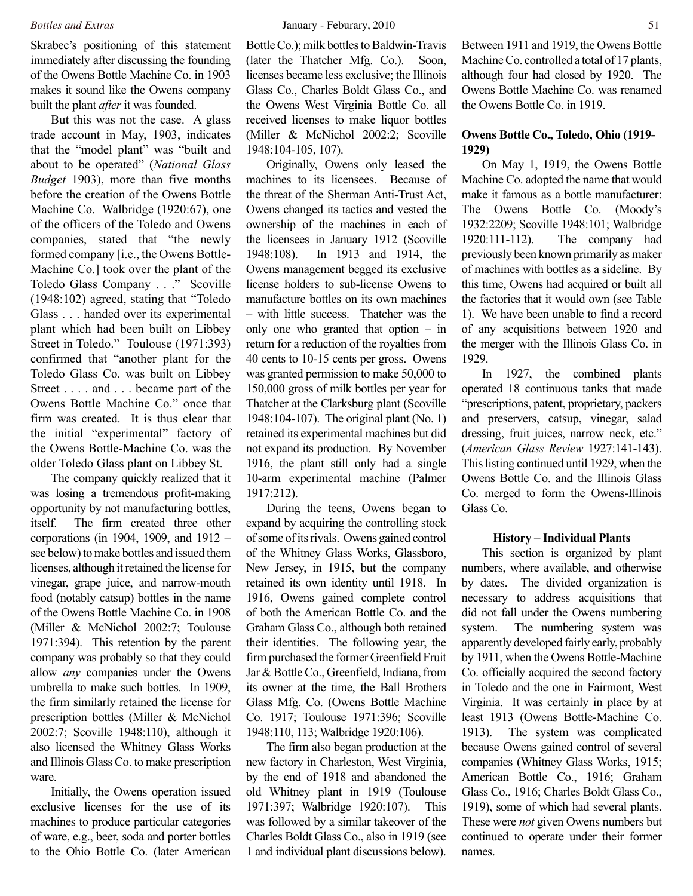Skrabec's positioning of this statement immediately after discussing the founding of the Owens Bottle Machine Co. in 1903 makes it sound like the Owens company built the plant *after* it was founded.

But this was not the case. A glass trade account in May, 1903, indicates that the "model plant" was "built and about to be operated" (*National Glass Budget* 1903), more than five months before the creation of the Owens Bottle Machine Co. Walbridge (1920:67), one of the officers of the Toledo and Owens companies, stated that "the newly formed company [i.e., the Owens Bottle-Machine Co.] took over the plant of the Toledo Glass Company . . ." Scoville (1948:102) agreed, stating that "Toledo Glass . . . handed over its experimental plant which had been built on Libbey Street in Toledo." Toulouse (1971:393) confirmed that "another plant for the Toledo Glass Co. was built on Libbey Street . . . . and . . . became part of the Owens Bottle Machine Co." once that firm was created. It is thus clear that the initial "experimental" factory of the Owens Bottle-Machine Co. was the older Toledo Glass plant on Libbey St.

The company quickly realized that it was losing a tremendous profit-making opportunity by not manufacturing bottles, itself. The firm created three other corporations (in 1904, 1909, and 1912 – see below) to make bottles and issued them licenses, although it retained the license for vinegar, grape juice, and narrow-mouth food (notably catsup) bottles in the name of the Owens Bottle Machine Co. in 1908 (Miller & McNichol 2002:7; Toulouse 1971:394). This retention by the parent company was probably so that they could allow *any* companies under the Owens umbrella to make such bottles. In 1909, the firm similarly retained the license for prescription bottles (Miller & McNichol 2002:7; Scoville 1948:110), although it also licensed the Whitney Glass Works and Illinois Glass Co. to make prescription ware.

Initially, the Owens operation issued exclusive licenses for the use of its machines to produce particular categories of ware, e.g., beer, soda and porter bottles to the Ohio Bottle Co. (later American Bottle Co.); milk bottles to Baldwin-Travis (later the Thatcher Mfg. Co.). Soon, licenses became less exclusive; the Illinois Glass Co., Charles Boldt Glass Co., and the Owens West Virginia Bottle Co. all received licenses to make liquor bottles (Miller & McNichol 2002:2; Scoville 1948:104-105, 107).

Originally, Owens only leased the machines to its licensees. Because of the threat of the Sherman Anti-Trust Act, Owens changed its tactics and vested the ownership of the machines in each of the licensees in January 1912 (Scoville 1948:108). In 1913 and 1914, the Owens management begged its exclusive license holders to sub-license Owens to manufacture bottles on its own machines – with little success. Thatcher was the only one who granted that option – in return for a reduction of the royalties from 40 cents to 10-15 cents per gross. Owens was granted permission to make 50,000 to 150,000 gross of milk bottles per year for Thatcher at the Clarksburg plant (Scoville 1948:104-107). The original plant (No. 1) retained its experimental machines but did not expand its production. By November 1916, the plant still only had a single 10-arm experimental machine (Palmer 1917:212).

During the teens, Owens began to expand by acquiring the controlling stock of some of its rivals. Owens gained control of the Whitney Glass Works, Glassboro, New Jersey, in 1915, but the company retained its own identity until 1918. In 1916, Owens gained complete control of both the American Bottle Co. and the Graham Glass Co., although both retained their identities. The following year, the firm purchased the former Greenfield Fruit Jar & Bottle Co., Greenfield, Indiana, from its owner at the time, the Ball Brothers Glass Mfg. Co. (Owens Bottle Machine Co. 1917; Toulouse 1971:396; Scoville 1948:110, 113; Walbridge 1920:106).

The firm also began production at the new factory in Charleston, West Virginia, by the end of 1918 and abandoned the old Whitney plant in 1919 (Toulouse 1971:397; Walbridge 1920:107). This was followed by a similar takeover of the Charles Boldt Glass Co., also in 1919 (see 1 and individual plant discussions below). Between 1911 and 1919, the Owens Bottle Machine Co. controlled a total of 17 plants, although four had closed by 1920. The Owens Bottle Machine Co. was renamed the Owens Bottle Co. in 1919.

# **Owens Bottle Co., Toledo, Ohio (1919- 1929)**

On May 1, 1919, the Owens Bottle Machine Co. adopted the name that would make it famous as a bottle manufacturer: The Owens Bottle Co. (Moody's 1932:2209; Scoville 1948:101; Walbridge 1920:111-112). The company had previously been known primarily as maker of machines with bottles as a sideline. By this time, Owens had acquired or built all the factories that it would own (see Table 1). We have been unable to find a record of any acquisitions between 1920 and the merger with the Illinois Glass Co. in 1929.

In 1927, the combined plants operated 18 continuous tanks that made "prescriptions, patent, proprietary, packers and preservers, catsup, vinegar, salad dressing, fruit juices, narrow neck, etc." (*American Glass Review* 1927:141-143). This listing continued until 1929, when the Owens Bottle Co. and the Illinois Glass Co. merged to form the Owens-Illinois Glass Co.

#### **History – Individual Plants**

This section is organized by plant numbers, where available, and otherwise by dates. The divided organization is necessary to address acquisitions that did not fall under the Owens numbering system. The numbering system was apparently developed fairly early, probably by 1911, when the Owens Bottle-Machine Co. officially acquired the second factory in Toledo and the one in Fairmont, West Virginia. It was certainly in place by at least 1913 (Owens Bottle-Machine Co. 1913). The system was complicated because Owens gained control of several companies (Whitney Glass Works, 1915; American Bottle Co., 1916; Graham Glass Co., 1916; Charles Boldt Glass Co., 1919), some of which had several plants. These were *not* given Owens numbers but continued to operate under their former names.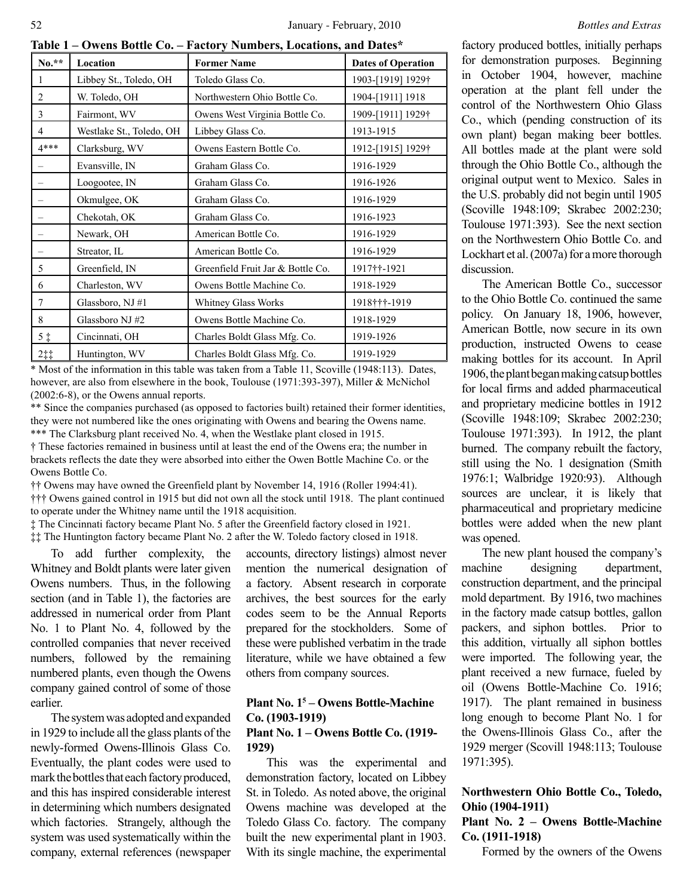**Table 1 – Owens Bottle Co. – Factory Numbers, Locations, and Dates\***

| $No.**$        | Location                 | <b>Former Name</b>                | <b>Dates of Operation</b> |
|----------------|--------------------------|-----------------------------------|---------------------------|
| $\mathbf{1}$   | Libbey St., Toledo, OH   | Toledo Glass Co.                  | 1903-[1919] 1929†         |
| $\overline{2}$ | W. Toledo, OH            | Northwestern Ohio Bottle Co.      | 1904-[1911] 1918          |
| 3              | Fairmont, WV             | Owens West Virginia Bottle Co.    | 1909-[1911] 1929†         |
| 4              | Westlake St., Toledo, OH | Libbey Glass Co.                  | 1913-1915                 |
| $4***$         | Clarksburg, WV           | Owens Eastern Bottle Co.          | 1912-[1915] 1929†         |
|                | Evansville, IN           | Graham Glass Co.                  | 1916-1929                 |
|                | Loogootee, IN            | Graham Glass Co.                  | 1916-1926                 |
|                | Okmulgee, OK             | Graham Glass Co.                  | 1916-1929                 |
|                | Chekotah, OK             | Graham Glass Co.                  | 1916-1923                 |
|                | Newark, OH               | American Bottle Co.               | 1916-1929                 |
|                | Streator, IL             | American Bottle Co.               | 1916-1929                 |
| 5              | Greenfield, IN           | Greenfield Fruit Jar & Bottle Co. | 1917††-1921               |
| 6              | Charleston, WV           | Owens Bottle Machine Co.          | 1918-1929                 |
| $\tau$         | Glassboro, NJ #1         | Whitney Glass Works               | 1918†††-1919              |
| 8              | Glassboro NJ #2          | Owens Bottle Machine Co.          | 1918-1929                 |
| $5$ $\ddagger$ | Cincinnati, OH           | Charles Boldt Glass Mfg. Co.      | 1919-1926                 |
| 211            | Huntington, WV           | Charles Boldt Glass Mfg. Co.      | 1919-1929                 |

\* Most of the information in this table was taken from a Table 11, Scoville (1948:113). Dates, however, are also from elsewhere in the book, Toulouse (1971:393-397), Miller & McNichol (2002:6-8), or the Owens annual reports.

\*\* Since the companies purchased (as opposed to factories built) retained their former identities, they were not numbered like the ones originating with Owens and bearing the Owens name. \*\*\* The Clarksburg plant received No. 4, when the Westlake plant closed in 1915.

† These factories remained in business until at least the end of the Owens era; the number in brackets reflects the date they were absorbed into either the Owen Bottle Machine Co. or the Owens Bottle Co.

†† Owens may have owned the Greenfield plant by November 14, 1916 (Roller 1994:41).

††† Owens gained control in 1915 but did not own all the stock until 1918. The plant continued to operate under the Whitney name until the 1918 acquisition.

‡ The Cincinnati factory became Plant No. 5 after the Greenfield factory closed in 1921.

‡‡ The Huntington factory became Plant No. 2 after the W. Toledo factory closed in 1918.

To add further complexity, the Whitney and Boldt plants were later given Owens numbers. Thus, in the following section (and in Table 1), the factories are addressed in numerical order from Plant No. 1 to Plant No. 4, followed by the controlled companies that never received numbers, followed by the remaining numbered plants, even though the Owens company gained control of some of those earlier.

The system was adopted and expanded in 1929 to include all the glass plants of the newly-formed Owens-Illinois Glass Co. Eventually, the plant codes were used to mark the bottles that each factory produced, and this has inspired considerable interest in determining which numbers designated which factories. Strangely, although the system was used systematically within the company, external references (newspaper

accounts, directory listings) almost never mention the numerical designation of a factory. Absent research in corporate archives, the best sources for the early codes seem to be the Annual Reports prepared for the stockholders. Some of these were published verbatim in the trade literature, while we have obtained a few others from company sources.

# **Plant No. 15 – Owens Bottle-Machine Co. (1903-1919)**

# **Plant No. 1 – Owens Bottle Co. (1919- 1929)**

This was the experimental and demonstration factory, located on Libbey St. in Toledo. As noted above, the original Owens machine was developed at the Toledo Glass Co. factory. The company built the new experimental plant in 1903. With its single machine, the experimental factory produced bottles, initially perhaps for demonstration purposes. Beginning in October 1904, however, machine operation at the plant fell under the control of the Northwestern Ohio Glass Co., which (pending construction of its own plant) began making beer bottles. All bottles made at the plant were sold through the Ohio Bottle Co., although the original output went to Mexico. Sales in the U.S. probably did not begin until 1905 (Scoville 1948:109; Skrabec 2002:230; Toulouse 1971:393). See the next section on the Northwestern Ohio Bottle Co. and Lockhart et al. (2007a) for a more thorough discussion.

The American Bottle Co., successor to the Ohio Bottle Co. continued the same policy. On January 18, 1906, however, American Bottle, now secure in its own production, instructed Owens to cease making bottles for its account. In April 1906, the plant began making catsup bottles for local firms and added pharmaceutical and proprietary medicine bottles in 1912 (Scoville 1948:109; Skrabec 2002:230; Toulouse 1971:393). In 1912, the plant burned. The company rebuilt the factory, still using the No. 1 designation (Smith 1976:1; Walbridge 1920:93). Although sources are unclear, it is likely that pharmaceutical and proprietary medicine bottles were added when the new plant was opened.

The new plant housed the company's machine designing department, construction department, and the principal mold department. By 1916, two machines in the factory made catsup bottles, gallon packers, and siphon bottles. Prior to this addition, virtually all siphon bottles were imported. The following year, the plant received a new furnace, fueled by oil (Owens Bottle-Machine Co. 1916; 1917). The plant remained in business long enough to become Plant No. 1 for the Owens-Illinois Glass Co., after the 1929 merger (Scovill 1948:113; Toulouse 1971:395).

# **Northwestern Ohio Bottle Co., Toledo, Ohio (1904-1911)**

# **Plant No. 2 – Owens Bottle-Machine Co. (1911-1918)**

Formed by the owners of the Owens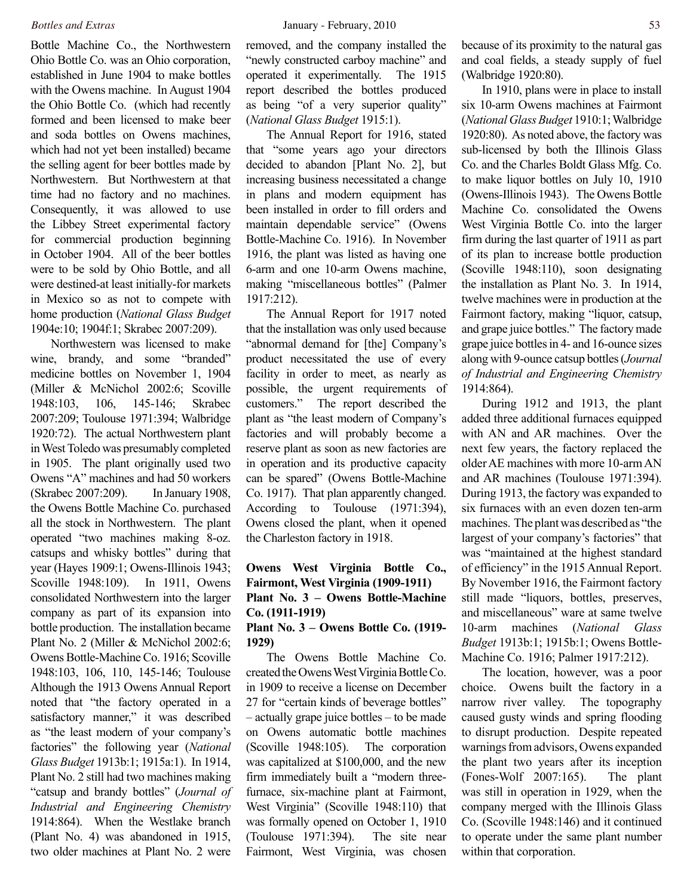Bottle Machine Co., the Northwestern Ohio Bottle Co. was an Ohio corporation, established in June 1904 to make bottles with the Owens machine. In August 1904 the Ohio Bottle Co. (which had recently formed and been licensed to make beer and soda bottles on Owens machines, which had not yet been installed) became the selling agent for beer bottles made by Northwestern. But Northwestern at that time had no factory and no machines. Consequently, it was allowed to use the Libbey Street experimental factory for commercial production beginning in October 1904. All of the beer bottles were to be sold by Ohio Bottle, and all were destined-at least initially-for markets in Mexico so as not to compete with home production (*National Glass Budget* 1904e:10; 1904f:1; Skrabec 2007:209).

Northwestern was licensed to make wine, brandy, and some "branded" medicine bottles on November 1, 1904 (Miller & McNichol 2002:6; Scoville 1948:103, 106, 145-146; Skrabec 2007:209; Toulouse 1971:394; Walbridge 1920:72). The actual Northwestern plant in West Toledo was presumably completed in 1905. The plant originally used two Owens "A" machines and had 50 workers (Skrabec 2007:209). In January 1908, the Owens Bottle Machine Co. purchased all the stock in Northwestern. The plant operated "two machines making 8-oz. catsups and whisky bottles" during that year (Hayes 1909:1; Owens-Illinois 1943; Scoville 1948:109). In 1911, Owens consolidated Northwestern into the larger company as part of its expansion into bottle production. The installation became Plant No. 2 (Miller & McNichol 2002:6; Owens Bottle-Machine Co. 1916; Scoville 1948:103, 106, 110, 145-146; Toulouse Although the 1913 Owens Annual Report noted that "the factory operated in a satisfactory manner," it was described as "the least modern of your company's factories" the following year (*National Glass Budget* 1913b:1; 1915a:1). In 1914, Plant No. 2 still had two machines making "catsup and brandy bottles" (*Journal of Industrial and Engineering Chemistry* 1914:864). When the Westlake branch (Plant No. 4) was abandoned in 1915, two older machines at Plant No. 2 were

removed, and the company installed the "newly constructed carboy machine" and operated it experimentally. The 1915 report described the bottles produced as being "of a very superior quality" (*National Glass Budget* 1915:1).

The Annual Report for 1916, stated that "some years ago your directors decided to abandon [Plant No. 2], but increasing business necessitated a change in plans and modern equipment has been installed in order to fill orders and maintain dependable service" (Owens Bottle-Machine Co. 1916). In November 1916, the plant was listed as having one 6-arm and one 10-arm Owens machine, making "miscellaneous bottles" (Palmer 1917:212).

The Annual Report for 1917 noted that the installation was only used because "abnormal demand for [the] Company's product necessitated the use of every facility in order to meet, as nearly as possible, the urgent requirements of customers." The report described the plant as "the least modern of Company's factories and will probably become a reserve plant as soon as new factories are in operation and its productive capacity can be spared" (Owens Bottle-Machine Co. 1917). That plan apparently changed. According to Toulouse (1971:394), Owens closed the plant, when it opened the Charleston factory in 1918.

# **Owens West Virginia Bottle Co., Fairmont, West Virginia (1909-1911) Plant No. 3 – Owens Bottle-Machine Co. (1911-1919)**

# **Plant No. 3 – Owens Bottle Co. (1919- 1929)**

The Owens Bottle Machine Co. created the Owens West Virginia Bottle Co. in 1909 to receive a license on December 27 for "certain kinds of beverage bottles" – actually grape juice bottles – to be made on Owens automatic bottle machines (Scoville 1948:105). The corporation was capitalized at \$100,000, and the new firm immediately built a "modern threefurnace, six-machine plant at Fairmont, West Virginia" (Scoville 1948:110) that was formally opened on October 1, 1910 (Toulouse 1971:394). The site near Fairmont, West Virginia, was chosen because of its proximity to the natural gas and coal fields, a steady supply of fuel (Walbridge 1920:80).

In 1910, plans were in place to install six 10-arm Owens machines at Fairmont (*National Glass Budget* 1910:1; Walbridge 1920:80). As noted above, the factory was sub-licensed by both the Illinois Glass Co. and the Charles Boldt Glass Mfg. Co. to make liquor bottles on July 10, 1910 (Owens-Illinois 1943). The Owens Bottle Machine Co. consolidated the Owens West Virginia Bottle Co. into the larger firm during the last quarter of 1911 as part of its plan to increase bottle production (Scoville 1948:110), soon designating the installation as Plant No. 3. In 1914, twelve machines were in production at the Fairmont factory, making "liquor, catsup, and grape juice bottles." The factory made grape juice bottles in 4- and 16-ounce sizes along with 9-ounce catsup bottles (*Journal of Industrial and Engineering Chemistry* 1914:864).

During 1912 and 1913, the plant added three additional furnaces equipped with AN and AR machines. Over the next few years, the factory replaced the older AE machines with more 10-arm AN and AR machines (Toulouse 1971:394). During 1913, the factory was expanded to six furnaces with an even dozen ten-arm machines. The plant was described as "the largest of your company's factories" that was "maintained at the highest standard of efficiency" in the 1915 Annual Report. By November 1916, the Fairmont factory still made "liquors, bottles, preserves, and miscellaneous" ware at same twelve 10-arm machines (*National Glass Budget* 1913b:1; 1915b:1; Owens Bottle-Machine Co. 1916; Palmer 1917:212).

The location, however, was a poor choice. Owens built the factory in a narrow river valley. The topography caused gusty winds and spring flooding to disrupt production. Despite repeated warnings from advisors, Owens expanded the plant two years after its inception (Fones-Wolf 2007:165). The plant was still in operation in 1929, when the company merged with the Illinois Glass Co. (Scoville 1948:146) and it continued to operate under the same plant number within that corporation.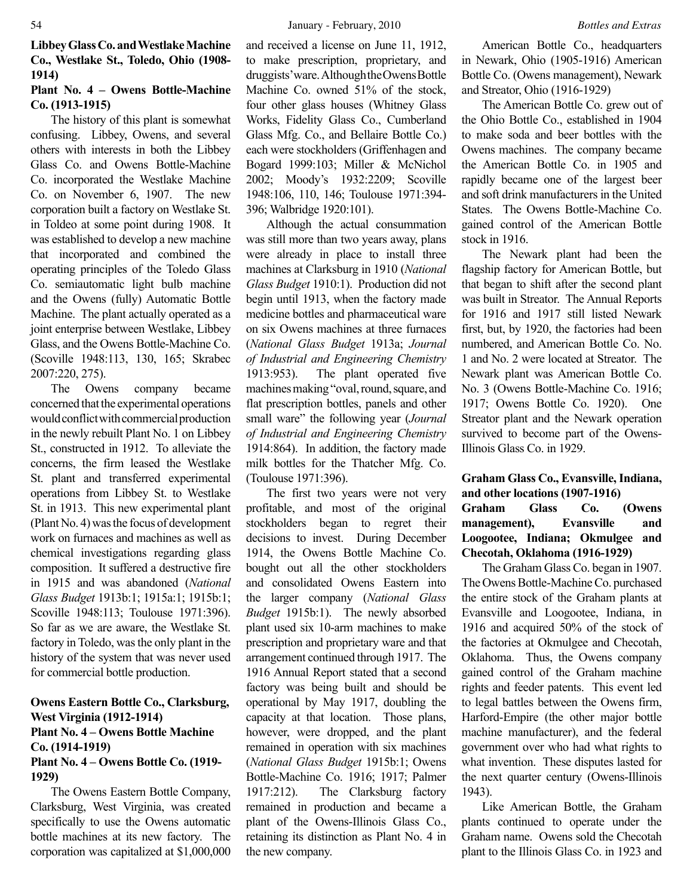**Libbey Glass Co. and Westlake Machine Co., Westlake St., Toledo, Ohio (1908- 1914)**

# **Plant No. 4 – Owens Bottle-Machine Co. (1913-1915)**

The history of this plant is somewhat confusing. Libbey, Owens, and several others with interests in both the Libbey Glass Co. and Owens Bottle-Machine Co. incorporated the Westlake Machine Co. on November 6, 1907. The new corporation built a factory on Westlake St. in Toldeo at some point during 1908. It was established to develop a new machine that incorporated and combined the operating principles of the Toledo Glass Co. semiautomatic light bulb machine and the Owens (fully) Automatic Bottle Machine. The plant actually operated as a joint enterprise between Westlake, Libbey Glass, and the Owens Bottle-Machine Co. (Scoville 1948:113, 130, 165; Skrabec 2007:220, 275).

The Owens company became concerned that the experimental operations would conflict with commercial production in the newly rebuilt Plant No. 1 on Libbey St., constructed in 1912. To alleviate the concerns, the firm leased the Westlake St. plant and transferred experimental operations from Libbey St. to Westlake St. in 1913. This new experimental plant (Plant No. 4) was the focus of development work on furnaces and machines as well as chemical investigations regarding glass composition. It suffered a destructive fire in 1915 and was abandoned (*National Glass Budget* 1913b:1; 1915a:1; 1915b:1; Scoville 1948:113; Toulouse 1971:396). So far as we are aware, the Westlake St. factory in Toledo, was the only plant in the history of the system that was never used for commercial bottle production.

# **Owens Eastern Bottle Co., Clarksburg, West Virginia (1912-1914) Plant No. 4 – Owens Bottle Machine Co. (1914-1919)**

# **Plant No. 4 – Owens Bottle Co. (1919- 1929)**

The Owens Eastern Bottle Company, Clarksburg, West Virginia, was created specifically to use the Owens automatic bottle machines at its new factory. The corporation was capitalized at \$1,000,000

and received a license on June 11, 1912, to make prescription, proprietary, and druggists' ware. Although the Owens Bottle Machine Co. owned 51% of the stock, four other glass houses (Whitney Glass Works, Fidelity Glass Co., Cumberland Glass Mfg. Co., and Bellaire Bottle Co.) each were stockholders (Griffenhagen and Bogard 1999:103; Miller & McNichol 2002; Moody's 1932:2209; Scoville 1948:106, 110, 146; Toulouse 1971:394- 396; Walbridge 1920:101).

Although the actual consummation was still more than two years away, plans were already in place to install three machines at Clarksburg in 1910 (*National Glass Budget* 1910:1). Production did not begin until 1913, when the factory made medicine bottles and pharmaceutical ware on six Owens machines at three furnaces (*National Glass Budget* 1913a; *Journal of Industrial and Engineering Chemistry* 1913:953). The plant operated five machines making "oval, round, square, and flat prescription bottles, panels and other small ware" the following year (*Journal of Industrial and Engineering Chemistry* 1914:864). In addition, the factory made milk bottles for the Thatcher Mfg. Co. (Toulouse 1971:396).

The first two years were not very profitable, and most of the original stockholders began to regret their decisions to invest. During December 1914, the Owens Bottle Machine Co. bought out all the other stockholders and consolidated Owens Eastern into the larger company (*National Glass Budget* 1915b:1). The newly absorbed plant used six 10-arm machines to make prescription and proprietary ware and that arrangement continued through 1917. The 1916 Annual Report stated that a second factory was being built and should be operational by May 1917, doubling the capacity at that location. Those plans, however, were dropped, and the plant remained in operation with six machines (*National Glass Budget* 1915b:1; Owens Bottle-Machine Co. 1916; 1917; Palmer 1917:212). The Clarksburg factory remained in production and became a plant of the Owens-Illinois Glass Co., retaining its distinction as Plant No. 4 in the new company.

American Bottle Co., headquarters in Newark, Ohio (1905-1916) American Bottle Co. (Owens management), Newark and Streator, Ohio (1916-1929)

The American Bottle Co. grew out of the Ohio Bottle Co., established in 1904 to make soda and beer bottles with the Owens machines. The company became the American Bottle Co. in 1905 and rapidly became one of the largest beer and soft drink manufacturers in the United States. The Owens Bottle-Machine Co. gained control of the American Bottle stock in 1916.

The Newark plant had been the flagship factory for American Bottle, but that began to shift after the second plant was built in Streator. The Annual Reports for 1916 and 1917 still listed Newark first, but, by 1920, the factories had been numbered, and American Bottle Co. No. 1 and No. 2 were located at Streator. The Newark plant was American Bottle Co. No. 3 (Owens Bottle-Machine Co. 1916; 1917; Owens Bottle Co. 1920). One Streator plant and the Newark operation survived to become part of the Owens-Illinois Glass Co. in 1929.

# **Graham Glass Co., Evansville, Indiana, and other locations (1907-1916)**

**Graham Glass Co. (Owens management), Evansville and Loogootee, Indiana; Okmulgee and Checotah, Oklahoma (1916-1929)**

The Graham Glass Co. began in 1907. The Owens Bottle-Machine Co. purchased the entire stock of the Graham plants at Evansville and Loogootee, Indiana, in 1916 and acquired 50% of the stock of the factories at Okmulgee and Checotah, Oklahoma. Thus, the Owens company gained control of the Graham machine rights and feeder patents. This event led to legal battles between the Owens firm, Harford-Empire (the other major bottle machine manufacturer), and the federal government over who had what rights to what invention. These disputes lasted for the next quarter century (Owens-Illinois 1943).

Like American Bottle, the Graham plants continued to operate under the Graham name. Owens sold the Checotah plant to the Illinois Glass Co. in 1923 and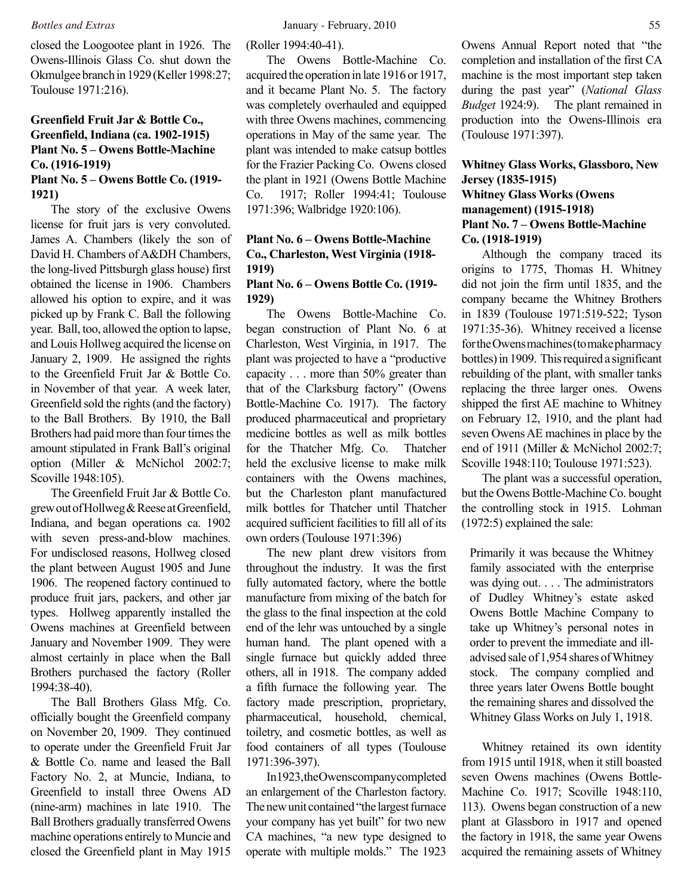closed the Loogootee plant in 1926. The Owens-Illinois Glass Co. shut down the Okmulgee branch in 1929 (Keller 1998:27; Toulouse 1971:216).

# **Greenfield Fruit Jar & Bottle Co., Greenfield, Indiana (ca. 1902-1915) Plant No. 5 – Owens Bottle-Machine Co. (1916-1919)**

**Plant No. 5 – Owens Bottle Co. (1919- 1921)**

The story of the exclusive Owens license for fruit jars is very convoluted. James A. Chambers (likely the son of David H. Chambers of A&DH Chambers, the long-lived Pittsburgh glass house) first obtained the license in 1906. Chambers allowed his option to expire, and it was picked up by Frank C. Ball the following year. Ball, too, allowed the option to lapse, and Louis Hollweg acquired the license on January 2, 1909. He assigned the rights to the Greenfield Fruit Jar & Bottle Co. in November of that year. A week later, Greenfield sold the rights (and the factory) to the Ball Brothers. By 1910, the Ball Brothers had paid more than four times the amount stipulated in Frank Ball's original option (Miller & McNichol 2002:7; Scoville 1948:105).

The Greenfield Fruit Jar & Bottle Co. grew out of Hollweg & Reese at Greenfield, Indiana, and began operations ca. 1902 with seven press-and-blow machines. For undisclosed reasons, Hollweg closed the plant between August 1905 and June 1906. The reopened factory continued to produce fruit jars, packers, and other jar types. Hollweg apparently installed the Owens machines at Greenfield between January and November 1909. They were almost certainly in place when the Ball Brothers purchased the factory (Roller 1994:38-40).

The Ball Brothers Glass Mfg. Co. officially bought the Greenfield company on November 20, 1909. They continued to operate under the Greenfield Fruit Jar & Bottle Co. name and leased the Ball Factory No. 2, at Muncie, Indiana, to Greenfield to install three Owens AD (nine-arm) machines in late 1910. The Ball Brothers gradually transferred Owens machine operations entirely to Muncie and closed the Greenfield plant in May 1915

(Roller 1994:40-41).

The Owens Bottle-Machine Co. acquired the operation in late 1916 or 1917, and it became Plant No. 5. The factory was completely overhauled and equipped with three Owens machines, commencing operations in May of the same year. The plant was intended to make catsup bottles for the Frazier Packing Co. Owens closed the plant in 1921 (Owens Bottle Machine Co. 1917; Roller 1994:41; Toulouse 1971:396; Walbridge 1920:106).

# **Plant No. 6 – Owens Bottle-Machine Co., Charleston, West Virginia (1918- 1919)**

# **Plant No. 6 – Owens Bottle Co. (1919- 1929)**

The Owens Bottle-Machine Co. began construction of Plant No. 6 at Charleston, West Virginia, in 1917. The plant was projected to have a "productive capacity . . . more than 50% greater than that of the Clarksburg factory" (Owens Bottle-Machine Co. 1917). The factory produced pharmaceutical and proprietary medicine bottles as well as milk bottles for the Thatcher Mfg. Co. Thatcher held the exclusive license to make milk containers with the Owens machines, but the Charleston plant manufactured milk bottles for Thatcher until Thatcher acquired sufficient facilities to fill all of its own orders (Toulouse 1971:396)

The new plant drew visitors from throughout the industry. It was the first fully automated factory, where the bottle manufacture from mixing of the batch for the glass to the final inspection at the cold end of the lehr was untouched by a single human hand. The plant opened with a single furnace but quickly added three others, all in 1918. The company added a fifth furnace the following year. The factory made prescription, proprietary, pharmaceutical, household, chemical, toiletry, and cosmetic bottles, as well as food containers of all types (Toulouse 1971:396-397).

In 1923, the Owens company completed an enlargement of the Charleston factory. The new unit contained "the largest furnace your company has yet built" for two new CA machines, "a new type designed to operate with multiple molds." The 1923

Owens Annual Report noted that "the completion and installation of the first CA machine is the most important step taken during the past year" (*National Glass Budget* 1924:9). The plant remained in production into the Owens-Illinois era (Toulouse 1971:397).

# **Whitney Glass Works, Glassboro, New Jersey (1835-1915) Whitney Glass Works (Owens management) (1915-1918) Plant No. 7 – Owens Bottle-Machine Co. (1918-1919)**

Although the company traced its origins to 1775, Thomas H. Whitney did not join the firm until 1835, and the company became the Whitney Brothers in 1839 (Toulouse 1971:519-522; Tyson 1971:35-36). Whitney received a license for the Owens machines (to make pharmacy bottles) in 1909. This required a significant rebuilding of the plant, with smaller tanks replacing the three larger ones. Owens shipped the first AE machine to Whitney on February 12, 1910, and the plant had seven Owens AE machines in place by the end of 1911 (Miller & McNichol 2002:7; Scoville 1948:110; Toulouse 1971:523).

The plant was a successful operation, but the Owens Bottle-Machine Co. bought the controlling stock in 1915. Lohman (1972:5) explained the sale:

Primarily it was because the Whitney family associated with the enterprise was dying out. . . . The administrators of Dudley Whitney's estate asked Owens Bottle Machine Company to take up Whitney's personal notes in order to prevent the immediate and illadvised sale of 1,954 shares of Whitney stock. The company complied and three years later Owens Bottle bought the remaining shares and dissolved the Whitney Glass Works on July 1, 1918.

Whitney retained its own identity from 1915 until 1918, when it still boasted seven Owens machines (Owens Bottle-Machine Co. 1917; Scoville 1948:110, 113). Owens began construction of a new plant at Glassboro in 1917 and opened the factory in 1918, the same year Owens acquired the remaining assets of Whitney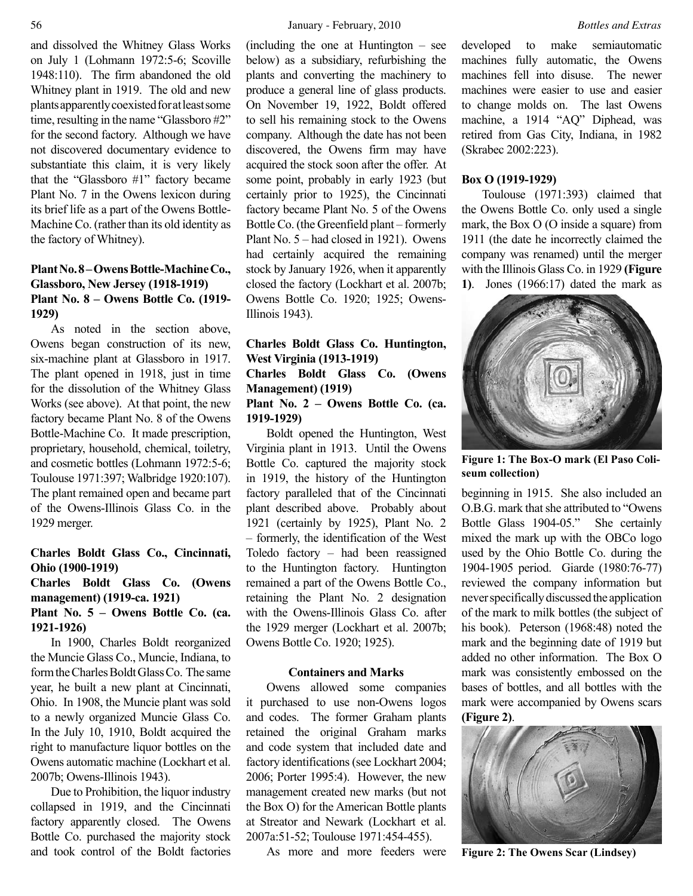and dissolved the Whitney Glass Works on July 1 (Lohmann 1972:5-6; Scoville 1948:110). The firm abandoned the old Whitney plant in 1919. The old and new plants apparently coexisted for at least some time, resulting in the name "Glassboro #2" for the second factory. Although we have not discovered documentary evidence to substantiate this claim, it is very likely that the "Glassboro #1" factory became Plant No. 7 in the Owens lexicon during its brief life as a part of the Owens Bottle-Machine Co. (rather than its old identity as the factory of Whitney).

# **Plant No. 8 – Owens Bottle-Machine Co., Glassboro, New Jersey (1918-1919) Plant No. 8 – Owens Bottle Co. (1919- 1929)**

As noted in the section above, Owens began construction of its new, six-machine plant at Glassboro in 1917. The plant opened in 1918, just in time for the dissolution of the Whitney Glass Works (see above). At that point, the new factory became Plant No. 8 of the Owens Bottle-Machine Co. It made prescription, proprietary, household, chemical, toiletry, and cosmetic bottles (Lohmann 1972:5-6; Toulouse 1971:397; Walbridge 1920:107). The plant remained open and became part of the Owens-Illinois Glass Co. in the 1929 merger.

# **Charles Boldt Glass Co., Cincinnati, Ohio (1900-1919)**

**Charles Boldt Glass Co. (Owens management) (1919-ca. 1921) Plant No. 5 – Owens Bottle Co. (ca. 1921-1926)**

In 1900, Charles Boldt reorganized the Muncie Glass Co., Muncie, Indiana, to form the Charles Boldt Glass Co. The same year, he built a new plant at Cincinnati, Ohio. In 1908, the Muncie plant was sold to a newly organized Muncie Glass Co. In the July 10, 1910, Boldt acquired the right to manufacture liquor bottles on the Owens automatic machine (Lockhart et al. 2007b; Owens-Illinois 1943).

Due to Prohibition, the liquor industry collapsed in 1919, and the Cincinnati factory apparently closed. The Owens Bottle Co. purchased the majority stock and took control of the Boldt factories (including the one at Huntington – see below) as a subsidiary, refurbishing the plants and converting the machinery to produce a general line of glass products. On November 19, 1922, Boldt offered to sell his remaining stock to the Owens company. Although the date has not been discovered, the Owens firm may have acquired the stock soon after the offer. At some point, probably in early 1923 (but certainly prior to 1925), the Cincinnati factory became Plant No. 5 of the Owens Bottle Co. (the Greenfield plant – formerly Plant No. 5 – had closed in 1921). Owens had certainly acquired the remaining stock by January 1926, when it apparently closed the factory (Lockhart et al. 2007b; Owens Bottle Co. 1920; 1925; Owens-Illinois 1943).

# **Charles Boldt Glass Co. Huntington, West Virginia (1913-1919) Charles Boldt Glass Co. (Owens**

### **Management) (1919) Plant No. 2 – Owens Bottle Co. (ca. 1919-1929)**

Boldt opened the Huntington, West Virginia plant in 1913. Until the Owens Bottle Co. captured the majority stock in 1919, the history of the Huntington factory paralleled that of the Cincinnati plant described above. Probably about 1921 (certainly by 1925), Plant No. 2 – formerly, the identification of the West Toledo factory – had been reassigned to the Huntington factory. Huntington remained a part of the Owens Bottle Co., retaining the Plant No. 2 designation with the Owens-Illinois Glass Co. after the 1929 merger (Lockhart et al. 2007b; Owens Bottle Co. 1920; 1925).

### **Containers and Marks**

Owens allowed some companies it purchased to use non-Owens logos and codes. The former Graham plants retained the original Graham marks and code system that included date and factory identifications (see Lockhart 2004; 2006; Porter 1995:4). However, the new management created new marks (but not the Box O) for the American Bottle plants at Streator and Newark (Lockhart et al. 2007a:51-52; Toulouse 1971:454-455).

As more and more feeders were

developed to make semiautomatic machines fully automatic, the Owens machines fell into disuse. The newer machines were easier to use and easier to change molds on. The last Owens machine, a 1914 "AQ" Diphead, was retired from Gas City, Indiana, in 1982 (Skrabec 2002:223).

# **Box O (1919-1929)**

Toulouse (1971:393) claimed that the Owens Bottle Co. only used a single mark, the Box O (O inside a square) from 1911 (the date he incorrectly claimed the company was renamed) until the merger with the Illinois Glass Co. in 1929 **(Figure 1)**. Jones (1966:17) dated the mark as



**Figure 1: The Box-O mark (El Paso Coliseum collection)**

beginning in 1915. She also included an O.B.G. mark that she attributed to "Owens Bottle Glass 1904-05." She certainly mixed the mark up with the OBCo logo used by the Ohio Bottle Co. during the 1904-1905 period. Giarde (1980:76-77) reviewed the company information but never specifically discussed the application of the mark to milk bottles (the subject of his book). Peterson (1968:48) noted the mark and the beginning date of 1919 but added no other information. The Box O mark was consistently embossed on the bases of bottles, and all bottles with the mark were accompanied by Owens scars **(Figure 2)**.



**Figure 2: The Owens Scar (Lindsey)**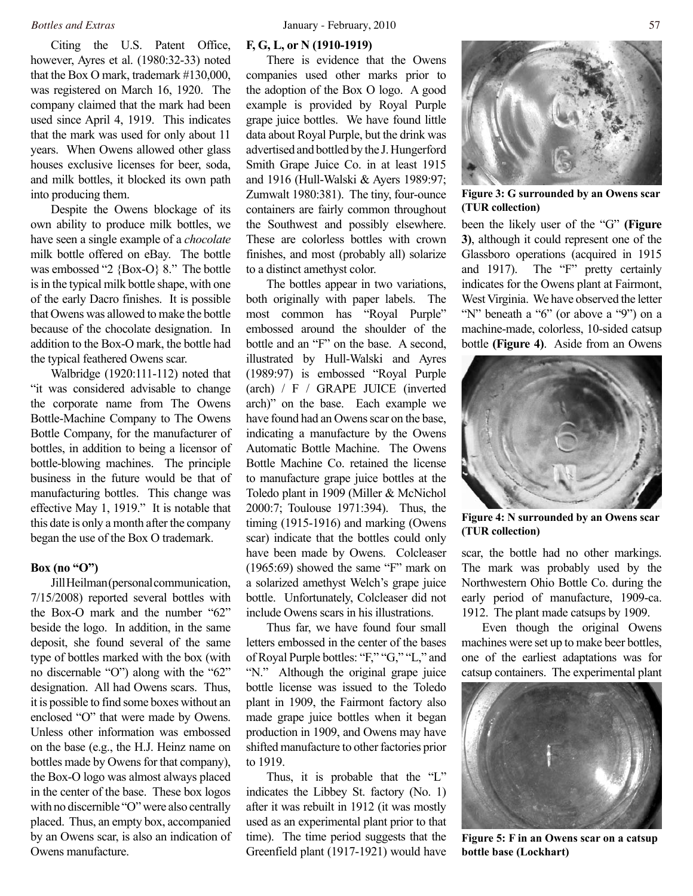Citing the U.S. Patent Office, however, Ayres et al. (1980:32-33) noted that the Box O mark, trademark #130,000, was registered on March 16, 1920. The company claimed that the mark had been used since April 4, 1919. This indicates that the mark was used for only about 11 years. When Owens allowed other glass houses exclusive licenses for beer, soda, and milk bottles, it blocked its own path into producing them.

Despite the Owens blockage of its own ability to produce milk bottles, we have seen a single example of a *chocolate* milk bottle offered on eBay. The bottle was embossed "2 {Box-O} 8." The bottle is in the typical milk bottle shape, with one of the early Dacro finishes. It is possible that Owens was allowed to make the bottle because of the chocolate designation. In addition to the Box-O mark, the bottle had the typical feathered Owens scar.

Walbridge (1920:111-112) noted that "it was considered advisable to change the corporate name from The Owens Bottle-Machine Company to The Owens Bottle Company, for the manufacturer of bottles, in addition to being a licensor of bottle-blowing machines. The principle business in the future would be that of manufacturing bottles. This change was effective May 1, 1919." It is notable that this date is only a month after the company began the use of the Box O trademark.

#### **Box (no "O")**

Jill Heilman (personal communication, 7/15/2008) reported several bottles with the Box-O mark and the number "62" beside the logo. In addition, in the same deposit, she found several of the same type of bottles marked with the box (with no discernable "O") along with the "62" designation. All had Owens scars. Thus, it is possible to find some boxes without an enclosed "O" that were made by Owens. Unless other information was embossed on the base (e.g., the H.J. Heinz name on bottles made by Owens for that company), the Box-O logo was almost always placed in the center of the base. These box logos with no discernible "O" were also centrally placed. Thus, an empty box, accompanied by an Owens scar, is also an indication of Owens manufacture.

### **F, G, L, or N (1910-1919)**

There is evidence that the Owens companies used other marks prior to the adoption of the Box O logo. A good example is provided by Royal Purple grape juice bottles. We have found little data about Royal Purple, but the drink was advertised and bottled by the J. Hungerford Smith Grape Juice Co. in at least 1915 and 1916 (Hull-Walski & Ayers 1989:97; Zumwalt 1980:381). The tiny, four-ounce containers are fairly common throughout the Southwest and possibly elsewhere. These are colorless bottles with crown finishes, and most (probably all) solarize to a distinct amethyst color.

The bottles appear in two variations, both originally with paper labels. The most common has "Royal Purple" embossed around the shoulder of the bottle and an "F" on the base. A second, illustrated by Hull-Walski and Ayres (1989:97) is embossed "Royal Purple (arch) / F / GRAPE JUICE (inverted arch)" on the base. Each example we have found had an Owens scar on the base, indicating a manufacture by the Owens Automatic Bottle Machine. The Owens Bottle Machine Co. retained the license to manufacture grape juice bottles at the Toledo plant in 1909 (Miller & McNichol 2000:7; Toulouse 1971:394). Thus, the timing (1915-1916) and marking (Owens scar) indicate that the bottles could only have been made by Owens. Colcleaser (1965:69) showed the same "F" mark on a solarized amethyst Welch's grape juice bottle. Unfortunately, Colcleaser did not include Owens scars in his illustrations.

Thus far, we have found four small letters embossed in the center of the bases of Royal Purple bottles: "F," "G," "L," and "N." Although the original grape juice bottle license was issued to the Toledo plant in 1909, the Fairmont factory also made grape juice bottles when it began production in 1909, and Owens may have shifted manufacture to other factories prior to 1919.

Thus, it is probable that the "L" indicates the Libbey St. factory (No. 1) after it was rebuilt in 1912 (it was mostly used as an experimental plant prior to that time). The time period suggests that the Greenfield plant (1917-1921) would have



**Figure 3: G surrounded by an Owens scar (TUR collection)**

been the likely user of the "G" **(Figure 3)**, although it could represent one of the Glassboro operations (acquired in 1915 and 1917). The "F" pretty certainly indicates for the Owens plant at Fairmont, West Virginia. We have observed the letter "N" beneath a "6" (or above a "9") on a machine-made, colorless, 10-sided catsup bottle **(Figure 4)**. Aside from an Owens



**Figure 4: N surrounded by an Owens scar (TUR collection)**

scar, the bottle had no other markings. The mark was probably used by the Northwestern Ohio Bottle Co. during the early period of manufacture, 1909-ca. 1912. The plant made catsups by 1909.

Even though the original Owens machines were set up to make beer bottles, one of the earliest adaptations was for catsup containers. The experimental plant



**Figure 5: F in an Owens scar on a catsup bottle base (Lockhart)**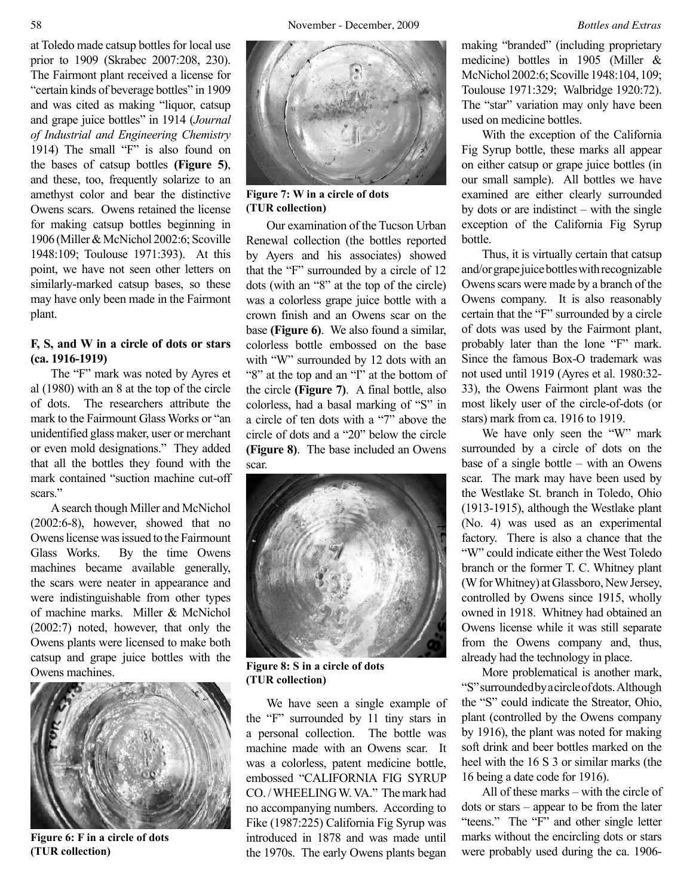at Toledo made catsup bottles for local use prior to 1909 (Skrabec 2007:208, 230). The Fairmont plant received a license for "certain kinds of beverage bottles" in 1909 and was cited as making "liquor, catsup and grape juice bottles" in 1914 (*Journal of Industrial and Engineering Chemistry* 1914) The small "F" is also found on the bases of catsup bottles **(Figure 5)**, and these, too, frequently solarize to an amethyst color and bear the distinctive Owens scars. Owens retained the license for making catsup bottles beginning in 1906 (Miller & McNichol 2002:6; Scoville 1948:109; Toulouse 1971:393). At this point, we have not seen other letters on similarly-marked catsup bases, so these may have only been made in the Fairmont plant.

# **F, S, and W in a circle of dots or stars (ca. 1916-1919)**

The "F" mark was noted by Ayres et al (1980) with an 8 at the top of the circle of dots. The researchers attribute the mark to the Fairmount Glass Works or "an unidentified glass maker, user or merchant or even mold designations." They added that all the bottles they found with the mark contained "suction machine cut-off scars."

A search though Miller and McNichol (2002:6-8), however, showed that no Owens license was issued to the Fairmount Glass Works. By the time Owens machines became available generally, the scars were neater in appearance and were indistinguishable from other types of machine marks. Miller & McNichol (2002:7) noted, however, that only the Owens plants were licensed to make both catsup and grape juice bottles with the Owens machines.



**Figure 6: F in a circle of dots (TUR collection)**



**Figure 7: W in a circle of dots (TUR collection)**

Our examination of the Tucson Urban Renewal collection (the bottles reported by Ayers and his associates) showed that the "F" surrounded by a circle of 12 dots (with an "8" at the top of the circle) was a colorless grape juice bottle with a crown finish and an Owens scar on the base **(Figure 6)**. We also found a similar, colorless bottle embossed on the base with "W" surrounded by 12 dots with an "8" at the top and an "I" at the bottom of the circle **(Figure 7)**. A final bottle, also colorless, had a basal marking of "S" in a circle of ten dots with a "7" above the circle of dots and a "20" below the circle **(Figure 8)**. The base included an Owens scar.



**Figure 8: S in a circle of dots (TUR collection)**

We have seen a single example of the "F" surrounded by 11 tiny stars in a personal collection. The bottle was machine made with an Owens scar. It was a colorless, patent medicine bottle, embossed "CALIFORNIA FIG SYRUP CO. / WHEELING W. VA." The mark had no accompanying numbers. According to Fike (1987:225) California Fig Syrup was introduced in 1878 and was made until the 1970s. The early Owens plants began making "branded" (including proprietary medicine) bottles in 1905 (Miller & McNichol 2002:6; Scoville 1948:104, 109; Toulouse 1971:329; Walbridge 1920:72). The "star" variation may only have been used on medicine bottles.

With the exception of the California Fig Syrup bottle, these marks all appear on either catsup or grape juice bottles (in our small sample). All bottles we have examined are either clearly surrounded by dots or are indistinct – with the single exception of the California Fig Syrup bottle.

Thus, it is virtually certain that catsup and/or grape juice bottles with recognizable Owens scars were made by a branch of the Owens company. It is also reasonably certain that the "F" surrounded by a circle of dots was used by the Fairmont plant, probably later than the lone "F" mark. Since the famous Box-O trademark was not used until 1919 (Ayres et al. 1980:32- 33), the Owens Fairmont plant was the most likely user of the circle-of-dots (or stars) mark from ca. 1916 to 1919.

We have only seen the "W" mark surrounded by a circle of dots on the base of a single bottle – with an Owens scar. The mark may have been used by the Westlake St. branch in Toledo, Ohio (1913-1915), although the Westlake plant (No. 4) was used as an experimental factory. There is also a chance that the "W" could indicate either the West Toledo branch or the former T. C. Whitney plant (W for Whitney) at Glassboro, New Jersey, controlled by Owens since 1915, wholly owned in 1918. Whitney had obtained an Owens license while it was still separate from the Owens company and, thus, already had the technology in place.

More problematical is another mark, "S" surrounded by a circle of dots. Although the "S" could indicate the Streator, Ohio, plant (controlled by the Owens company by 1916), the plant was noted for making soft drink and beer bottles marked on the heel with the 16 S 3 or similar marks (the 16 being a date code for 1916).

All of these marks – with the circle of dots or stars – appear to be from the later "teens." The "F" and other single letter marks without the encircling dots or stars were probably used during the ca. 1906-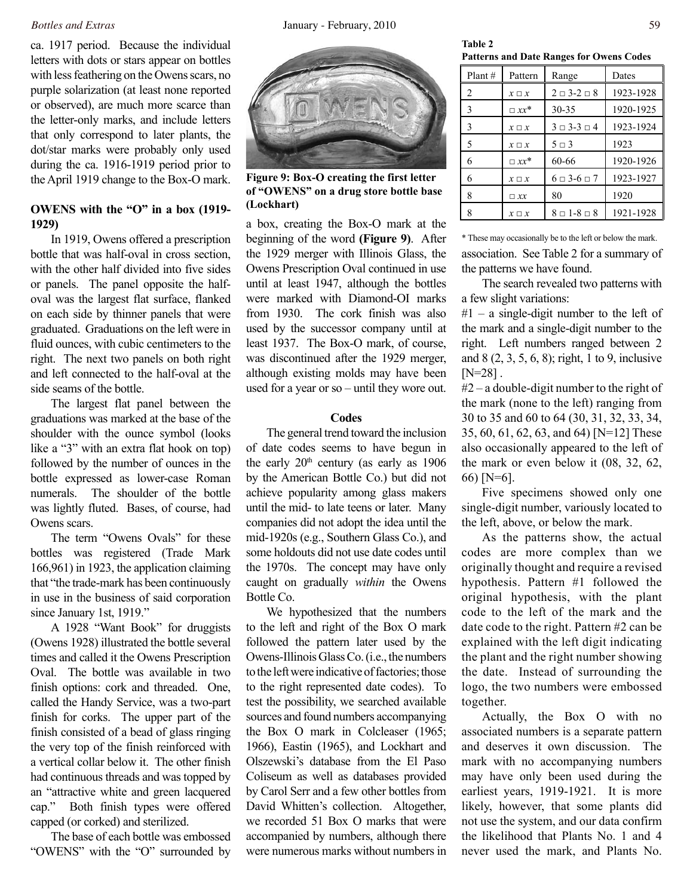ca. 1917 period. Because the individual letters with dots or stars appear on bottles with less feathering on the Owens scars, no purple solarization (at least none reported or observed), are much more scarce than the letter-only marks, and include letters that only correspond to later plants, the dot/star marks were probably only used during the ca. 1916-1919 period prior to the April 1919 change to the Box-O mark.

# **OWENS with the "O" in a box (1919- 1929)**

In 1919, Owens offered a prescription bottle that was half-oval in cross section, with the other half divided into five sides or panels. The panel opposite the halfoval was the largest flat surface, flanked on each side by thinner panels that were graduated. Graduations on the left were in fluid ounces, with cubic centimeters to the right. The next two panels on both right and left connected to the half-oval at the side seams of the bottle.

The largest flat panel between the graduations was marked at the base of the shoulder with the ounce symbol (looks like a "3" with an extra flat hook on top) followed by the number of ounces in the bottle expressed as lower-case Roman numerals. The shoulder of the bottle was lightly fluted. Bases, of course, had Owens scars.

The term "Owens Ovals" for these bottles was registered (Trade Mark 166,961) in 1923, the application claiming that "the trade-mark has been continuously in use in the business of said corporation since January 1st, 1919."

A 1928 "Want Book" for druggists (Owens 1928) illustrated the bottle several times and called it the Owens Prescription Oval. The bottle was available in two finish options: cork and threaded. One, called the Handy Service, was a two-part finish for corks. The upper part of the finish consisted of a bead of glass ringing the very top of the finish reinforced with a vertical collar below it. The other finish had continuous threads and was topped by an "attractive white and green lacquered cap." Both finish types were offered capped (or corked) and sterilized.

The base of each bottle was embossed "OWENS" with the "O" surrounded by



**Figure 9: Box-O creating the first letter of "OWENS" on a drug store bottle base (Lockhart)**

a box, creating the Box-O mark at the beginning of the word **(Figure 9)**. After the 1929 merger with Illinois Glass, the Owens Prescription Oval continued in use until at least 1947, although the bottles were marked with Diamond-OI marks from 1930. The cork finish was also used by the successor company until at least 1937. The Box-O mark, of course, was discontinued after the 1929 merger, although existing molds may have been used for a year or so – until they wore out.

#### **Codes**

The general trend toward the inclusion of date codes seems to have begun in the early  $20<sup>th</sup>$  century (as early as  $1906$ by the American Bottle Co.) but did not achieve popularity among glass makers until the mid- to late teens or later. Many companies did not adopt the idea until the mid-1920s (e.g., Southern Glass Co.), and some holdouts did not use date codes until the 1970s. The concept may have only caught on gradually *within* the Owens Bottle Co.

We hypothesized that the numbers to the left and right of the Box O mark followed the pattern later used by the Owens-Illinois Glass Co. (i.e., the numbers to the left were indicative of factories; those to the right represented date codes). To test the possibility, we searched available sources and found numbers accompanying the Box O mark in Colcleaser (1965; 1966), Eastin (1965), and Lockhart and Olszewski's database from the El Paso Coliseum as well as databases provided by Carol Serr and a few other bottles from David Whitten's collection. Altogether, we recorded 51 Box O marks that were accompanied by numbers, although there were numerous marks without numbers in

**Table 2 Patterns and Date Ranges for Owens Codes**

| Plant# | Pattern       | Range                       | Dates     |
|--------|---------------|-----------------------------|-----------|
| 2      | $x \square x$ | $2 \square 3 - 2 \square 8$ | 1923-1928 |
| 3      | $\Box x x^*$  | $30 - 35$                   | 1920-1925 |
| 3      | $x \square x$ | $3 \Box 3 - 3 \Box 4$       | 1923-1924 |
| 5      | $x \square x$ | $5 \square 3$               | 1923      |
| 6      | $\Box x x^*$  | 60-66                       | 1920-1926 |
| 6      | $x \square x$ | $6 \square 3 - 6 \square 7$ | 1923-1927 |
| 8      | $\Box$ XX     | 80                          | 1920      |
| 8      | $x \square x$ | $8 \square 1 - 8 \square 8$ | 1921-1928 |

association. See Table 2 for a summary of the patterns we have found. \* These may occasionally be to the left or below the mark.

The search revealed two patterns with a few slight variations:

#1 – a single-digit number to the left of the mark and a single-digit number to the right. Left numbers ranged between 2 and 8 (2, 3, 5, 6, 8); right, 1 to 9, inclusive  $[N=28]$ .

#2 – a double-digit number to the right of the mark (none to the left) ranging from 30 to 35 and 60 to 64 (30, 31, 32, 33, 34, 35, 60, 61, 62, 63, and 64) [N=12] These also occasionally appeared to the left of the mark or even below it (08, 32, 62, 66) [N=6].

Five specimens showed only one single-digit number, variously located to the left, above, or below the mark.

As the patterns show, the actual codes are more complex than we originally thought and require a revised hypothesis. Pattern #1 followed the original hypothesis, with the plant code to the left of the mark and the date code to the right. Pattern #2 can be explained with the left digit indicating the plant and the right number showing the date. Instead of surrounding the logo, the two numbers were embossed together.

Actually, the Box O with no associated numbers is a separate pattern and deserves it own discussion. The mark with no accompanying numbers may have only been used during the earliest years, 1919-1921. It is more likely, however, that some plants did not use the system, and our data confirm the likelihood that Plants No. 1 and 4 never used the mark, and Plants No.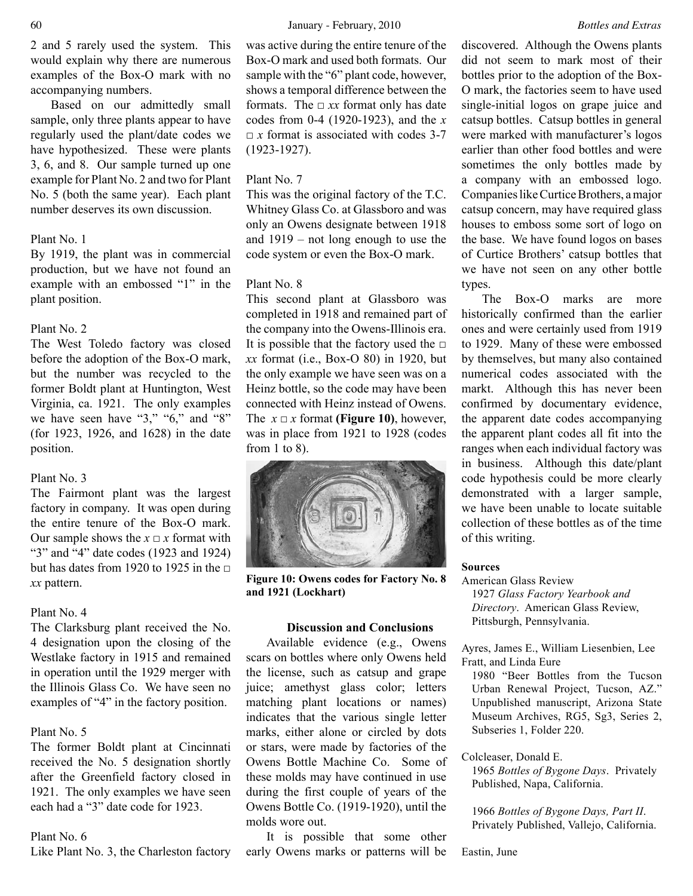2 and 5 rarely used the system. This would explain why there are numerous examples of the Box-O mark with no accompanying numbers.

Based on our admittedly small sample, only three plants appear to have regularly used the plant/date codes we have hypothesized. These were plants 3, 6, and 8. Our sample turned up one example for Plant No. 2 and two for Plant No. 5 (both the same year). Each plant number deserves its own discussion.

### Plant No. 1

By 1919, the plant was in commercial production, but we have not found an example with an embossed "1" in the plant position.

### Plant No. 2

The West Toledo factory was closed before the adoption of the Box-O mark, but the number was recycled to the former Boldt plant at Huntington, West Virginia, ca. 1921. The only examples we have seen have "3," "6," and "8" (for 1923, 1926, and 1628) in the date position.

#### Plant No. 3

The Fairmont plant was the largest factory in company. It was open during the entire tenure of the Box-O mark. Our sample shows the  $x \sqcup x$  format with "3" and "4" date codes (1923 and 1924) but has dates from 1920 to 1925 in the  $\Box$ *xx* pattern.

#### Plant No. 4

The Clarksburg plant received the No. 4 designation upon the closing of the Westlake factory in 1915 and remained in operation until the 1929 merger with the Illinois Glass Co. We have seen no examples of "4" in the factory position.

#### Plant No. 5

The former Boldt plant at Cincinnati received the No. 5 designation shortly after the Greenfield factory closed in 1921. The only examples we have seen each had a "3" date code for 1923.

#### Plant No. 6

Like Plant No. 3, the Charleston factory

was active during the entire tenure of the Box-O mark and used both formats. Our sample with the "6" plant code, however, shows a temporal difference between the formats. The  $\Box xx$  format only has date codes from 0-4 (1920-1923), and the *x*  $\Box$  *x* format is associated with codes 3-7 (1923-1927).

### Plant No. 7

This was the original factory of the T.C. Whitney Glass Co. at Glassboro and was only an Owens designate between 1918 and 1919 – not long enough to use the code system or even the Box-O mark.

#### Plant No. 8

This second plant at Glassboro was completed in 1918 and remained part of the company into the Owens-Illinois era. It is possible that the factory used the  $□$ *xx* format (i.e., Box-O 80) in 1920, but the only example we have seen was on a Heinz bottle, so the code may have been connected with Heinz instead of Owens. The  $x \Box x$  format **(Figure 10)**, however, was in place from 1921 to 1928 (codes from 1 to 8).



**Figure 10: Owens codes for Factory No. 8 and 1921 (Lockhart)**

### **Discussion and Conclusions**

Available evidence (e.g., Owens scars on bottles where only Owens held the license, such as catsup and grape juice; amethyst glass color; letters matching plant locations or names) indicates that the various single letter marks, either alone or circled by dots or stars, were made by factories of the Owens Bottle Machine Co. Some of these molds may have continued in use during the first couple of years of the Owens Bottle Co. (1919-1920), until the molds wore out.

It is possible that some other early Owens marks or patterns will be

discovered. Although the Owens plants did not seem to mark most of their bottles prior to the adoption of the Box-O mark, the factories seem to have used single-initial logos on grape juice and catsup bottles. Catsup bottles in general were marked with manufacturer's logos earlier than other food bottles and were sometimes the only bottles made by a company with an embossed logo. Companies like Curtice Brothers, a major catsup concern, may have required glass houses to emboss some sort of logo on the base. We have found logos on bases of Curtice Brothers' catsup bottles that we have not seen on any other bottle types.

The Box-O marks are more historically confirmed than the earlier ones and were certainly used from 1919 to 1929. Many of these were embossed by themselves, but many also contained numerical codes associated with the markt. Although this has never been confirmed by documentary evidence, the apparent date codes accompanying the apparent plant codes all fit into the ranges when each individual factory was in business. Although this date/plant code hypothesis could be more clearly demonstrated with a larger sample, we have been unable to locate suitable collection of these bottles as of the time of this writing.

#### **Sources**

American Glass Review 1927 *Glass Factory Yearbook and Directory*. American Glass Review, Pittsburgh, Pennsylvania.

Ayres, James E., William Liesenbien, Lee Fratt, and Linda Eure

1980 "Beer Bottles from the Tucson Urban Renewal Project, Tucson, AZ." Unpublished manuscript, Arizona State Museum Archives, RG5, Sg3, Series 2, Subseries 1, Folder 220.

Colcleaser, Donald E.

1965 *Bottles of Bygone Days*. Privately Published, Napa, California.

1966 *Bottles of Bygone Days, Part II*. Privately Published, Vallejo, California.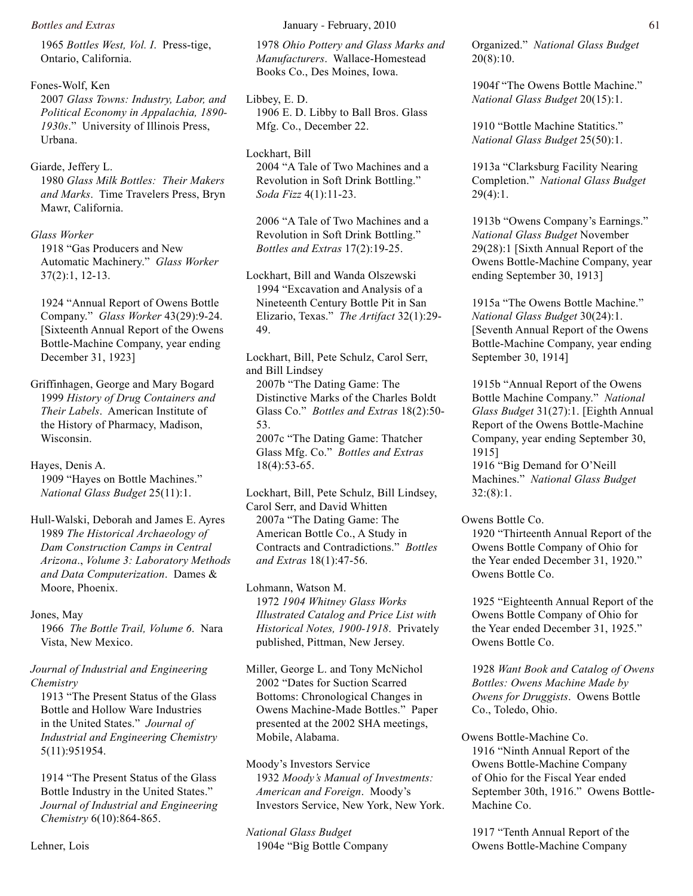1965 *Bottles West, Vol. I*. Press-tige, Ontario, California.

Fones-Wolf, Ken 2007 *Glass Towns: Industry, Labor, and Political Economy in Appalachia, 1890- 1930s*." University of Illinois Press, Urbana.

Giarde, Jeffery L. 1980 *Glass Milk Bottles: Their Makers and Marks*. Time Travelers Press, Bryn Mawr, California.

#### *Glass Worker*

1918 "Gas Producers and New Automatic Machinery." *Glass Worker* 37(2):1, 12-13.

1924 "Annual Report of Owens Bottle Company." *Glass Worker* 43(29):9-24. [Sixteenth Annual Report of the Owens Bottle-Machine Company, year ending December 31, 1923]

Griffinhagen, George and Mary Bogard 1999 *History of Drug Containers and Their Labels*. American Institute of the History of Pharmacy, Madison, Wisconsin.

Hayes, Denis A. 1909 "Hayes on Bottle Machines." *National Glass Budget* 25(11):1.

Hull-Walski, Deborah and James E. Ayres 1989 *The Historical Archaeology of Dam Construction Camps in Central Arizona*., *Volume 3: Laboratory Methods and Data Computerization*. Dames & Moore, Phoenix.

Jones, May

1966 *The Bottle Trail, Volume 6*. Nara Vista, New Mexico.

*Journal of Industrial and Engineering Chemistry*

1913 "The Present Status of the Glass Bottle and Hollow Ware Industries in the United States." *Journal of Industrial and Engineering Chemistry* 5(11):951954.

1914 "The Present Status of the Glass Bottle Industry in the United States." *Journal of Industrial and Engineering Chemistry* 6(10):864-865.

1978 *Ohio Pottery and Glass Marks and Manufacturers*. Wallace-Homestead Books Co., Des Moines, Iowa.

Libbey, E. D. 1906 E. D. Libby to Ball Bros. Glass Mfg. Co., December 22.

Lockhart, Bill 2004 "A Tale of Two Machines and a Revolution in Soft Drink Bottling." *Soda Fizz* 4(1):11-23.

2006 "A Tale of Two Machines and a Revolution in Soft Drink Bottling." *Bottles and Extras* 17(2):19-25.

Lockhart, Bill and Wanda Olszewski 1994 "Excavation and Analysis of a Nineteenth Century Bottle Pit in San Elizario, Texas." *The Artifact* 32(1):29- 49.

Lockhart, Bill, Pete Schulz, Carol Serr, and Bill Lindsey

2007b "The Dating Game: The Distinctive Marks of the Charles Boldt Glass Co." *Bottles and Extras* 18(2):50- 53. 2007c "The Dating Game: Thatcher

Glass Mfg. Co." *Bottles and Extras* 18(4):53-65.

Lockhart, Bill, Pete Schulz, Bill Lindsey, Carol Serr, and David Whitten 2007a "The Dating Game: The American Bottle Co., A Study in Contracts and Contradictions." *Bottles and Extras* 18(1):47-56.

Lohmann, Watson M. 1972 *1904 Whitney Glass Works Illustrated Catalog and Price List with Historical Notes, 1900-1918*. Privately published, Pittman, New Jersey.

Miller, George L. and Tony McNichol 2002 "Dates for Suction Scarred Bottoms: Chronological Changes in Owens Machine-Made Bottles." Paper presented at the 2002 SHA meetings, Mobile, Alabama.

Moody's Investors Service 1932 *Moody's Manual of Investments: American and Foreign*. Moody's Investors Service, New York, New York.

*National Glass Budget* 1904e "Big Bottle Company Organized." *National Glass Budget* 20(8):10.

1904f "The Owens Bottle Machine." *National Glass Budget* 20(15):1.

1910 "Bottle Machine Statitics." *National Glass Budget* 25(50):1.

1913a "Clarksburg Facility Nearing Completion." *National Glass Budget*  $29(4):1.$ 

1913b "Owens Company's Earnings." *National Glass Budget* November 29(28):1 [Sixth Annual Report of the Owens Bottle-Machine Company, year ending September 30, 1913]

1915a "The Owens Bottle Machine." *National Glass Budget* 30(24):1. [Seventh Annual Report of the Owens Bottle-Machine Company, year ending September 30, 1914]

1915b "Annual Report of the Owens Bottle Machine Company." *National Glass Budget* 31(27):1. [Eighth Annual Report of the Owens Bottle-Machine Company, year ending September 30, 1915]

1916 "Big Demand for O'Neill Machines." *National Glass Budget*  $32:(8):1$ .

Owens Bottle Co. 1920 "Thirteenth Annual Report of the Owens Bottle Company of Ohio for the Year ended December 31, 1920." Owens Bottle Co.

1925 "Eighteenth Annual Report of the Owens Bottle Company of Ohio for the Year ended December 31, 1925." Owens Bottle Co.

1928 *Want Book and Catalog of Owens Bottles: Owens Machine Made by Owens for Druggists*. Owens Bottle Co., Toledo, Ohio.

Owens Bottle-Machine Co. 1916 "Ninth Annual Report of the Owens Bottle-Machine Company of Ohio for the Fiscal Year ended September 30th, 1916." Owens Bottle-Machine Co.

1917 "Tenth Annual Report of the Owens Bottle-Machine Company